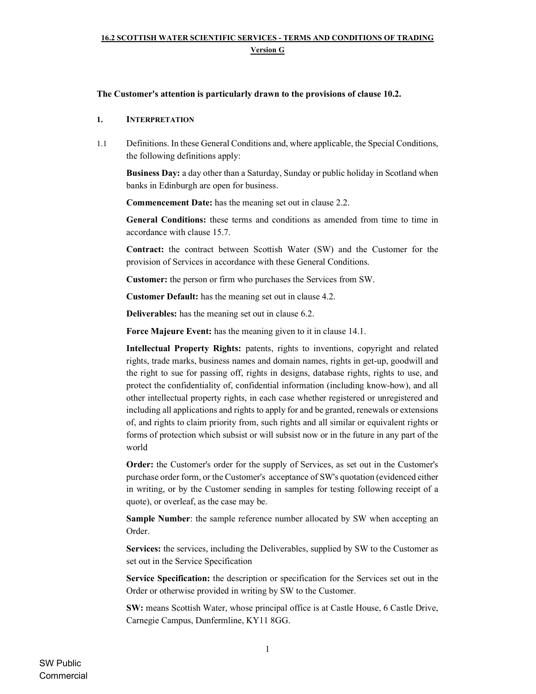#### The Customer's attention is particularly drawn to the provisions of clause 10.2.

#### 1. INTERPRETATION

1.1 Definitions. In these General Conditions and, where applicable, the Special Conditions, the following definitions apply:

Business Day: a day other than a Saturday, Sunday or public holiday in Scotland when banks in Edinburgh are open for business.

Commencement Date: has the meaning set out in clause 2.2.

General Conditions: these terms and conditions as amended from time to time in accordance with clause 15.7.

Contract: the contract between Scottish Water (SW) and the Customer for the provision of Services in accordance with these General Conditions.

Customer: the person or firm who purchases the Services from SW.

Customer Default: has the meaning set out in clause 4.2.

Deliverables: has the meaning set out in clause 6.2.

Force Majeure Event: has the meaning given to it in clause 14.1.

Intellectual Property Rights: patents, rights to inventions, copyright and related rights, trade marks, business names and domain names, rights in get-up, goodwill and the right to sue for passing off, rights in designs, database rights, rights to use, and protect the confidentiality of, confidential information (including know-how), and all other intellectual property rights, in each case whether registered or unregistered and including all applications and rights to apply for and be granted, renewals or extensions of, and rights to claim priority from, such rights and all similar or equivalent rights or forms of protection which subsist or will subsist now or in the future in any part of the world

Order: the Customer's order for the supply of Services, as set out in the Customer's purchase order form, or the Customer's acceptance of SW's quotation (evidenced either in writing, or by the Customer sending in samples for testing following receipt of a quote), or overleaf, as the case may be.

Sample Number: the sample reference number allocated by SW when accepting an Order.

Services: the services, including the Deliverables, supplied by SW to the Customer as set out in the Service Specification

Service Specification: the description or specification for the Services set out in the Order or otherwise provided in writing by SW to the Customer.

SW: means Scottish Water, whose principal office is at Castle House, 6 Castle Drive, Carnegie Campus, Dunfermline, KY11 8GG.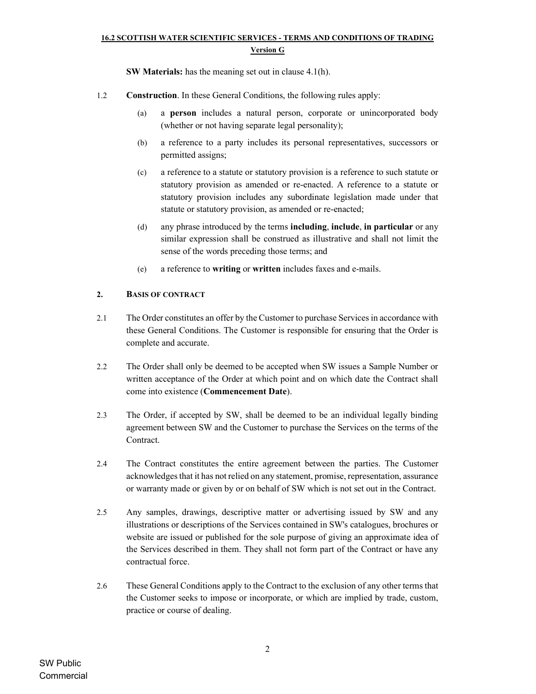SW Materials: has the meaning set out in clause 4.1(h).

- 1.2 Construction. In these General Conditions, the following rules apply:
	- (a) a person includes a natural person, corporate or unincorporated body (whether or not having separate legal personality);
	- (b) a reference to a party includes its personal representatives, successors or permitted assigns;
	- (c) a reference to a statute or statutory provision is a reference to such statute or statutory provision as amended or re-enacted. A reference to a statute or statutory provision includes any subordinate legislation made under that statute or statutory provision, as amended or re-enacted;
	- (d) any phrase introduced by the terms including, include, in particular or any similar expression shall be construed as illustrative and shall not limit the sense of the words preceding those terms; and
	- (e) a reference to writing or written includes faxes and e-mails.

### 2. BASIS OF CONTRACT

- 2.1 The Order constitutes an offer by the Customer to purchase Services in accordance with these General Conditions. The Customer is responsible for ensuring that the Order is complete and accurate.
- 2.2 The Order shall only be deemed to be accepted when SW issues a Sample Number or written acceptance of the Order at which point and on which date the Contract shall come into existence (Commencement Date).
- 2.3 The Order, if accepted by SW, shall be deemed to be an individual legally binding agreement between SW and the Customer to purchase the Services on the terms of the Contract.
- 2.4 The Contract constitutes the entire agreement between the parties. The Customer acknowledges that it has not relied on any statement, promise, representation, assurance or warranty made or given by or on behalf of SW which is not set out in the Contract.
- 2.5 Any samples, drawings, descriptive matter or advertising issued by SW and any illustrations or descriptions of the Services contained in SW's catalogues, brochures or website are issued or published for the sole purpose of giving an approximate idea of the Services described in them. They shall not form part of the Contract or have any contractual force.
- 2.6 These General Conditions apply to the Contract to the exclusion of any other terms that the Customer seeks to impose or incorporate, or which are implied by trade, custom, practice or course of dealing.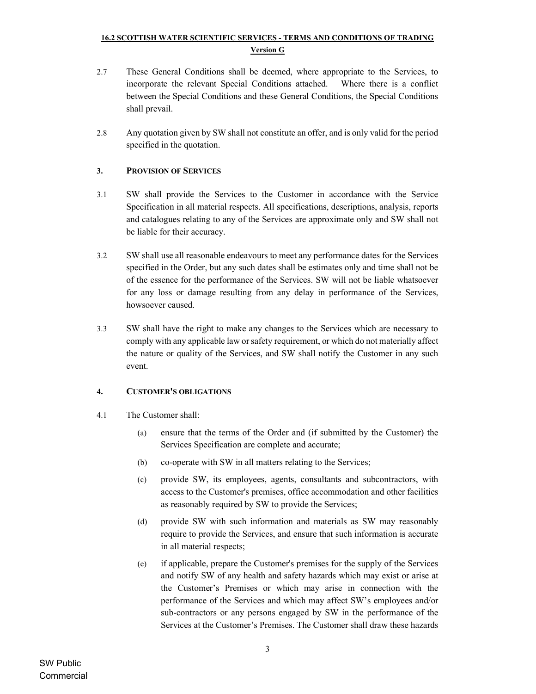- 2.7 These General Conditions shall be deemed, where appropriate to the Services, to incorporate the relevant Special Conditions attached. Where there is a conflict between the Special Conditions and these General Conditions, the Special Conditions shall prevail.
- 2.8 Any quotation given by SW shall not constitute an offer, and is only valid for the period specified in the quotation.

## 3. PROVISION OF SERVICES

- 3.1 SW shall provide the Services to the Customer in accordance with the Service Specification in all material respects. All specifications, descriptions, analysis, reports and catalogues relating to any of the Services are approximate only and SW shall not be liable for their accuracy.
- 3.2 SW shall use all reasonable endeavours to meet any performance dates for the Services specified in the Order, but any such dates shall be estimates only and time shall not be of the essence for the performance of the Services. SW will not be liable whatsoever for any loss or damage resulting from any delay in performance of the Services, howsoever caused.
- 3.3 SW shall have the right to make any changes to the Services which are necessary to comply with any applicable law or safety requirement, or which do not materially affect the nature or quality of the Services, and SW shall notify the Customer in any such event.

### 4. CUSTOMER'S OBLIGATIONS

- 4.1 The Customer shall:
	- (a) ensure that the terms of the Order and (if submitted by the Customer) the Services Specification are complete and accurate;
	- (b) co-operate with SW in all matters relating to the Services;
	- (c) provide SW, its employees, agents, consultants and subcontractors, with access to the Customer's premises, office accommodation and other facilities as reasonably required by SW to provide the Services;
	- (d) provide SW with such information and materials as SW may reasonably require to provide the Services, and ensure that such information is accurate in all material respects;
	- (e) if applicable, prepare the Customer's premises for the supply of the Services and notify SW of any health and safety hazards which may exist or arise at the Customer's Premises or which may arise in connection with the performance of the Services and which may affect SW's employees and/or sub-contractors or any persons engaged by SW in the performance of the Services at the Customer's Premises. The Customer shall draw these hazards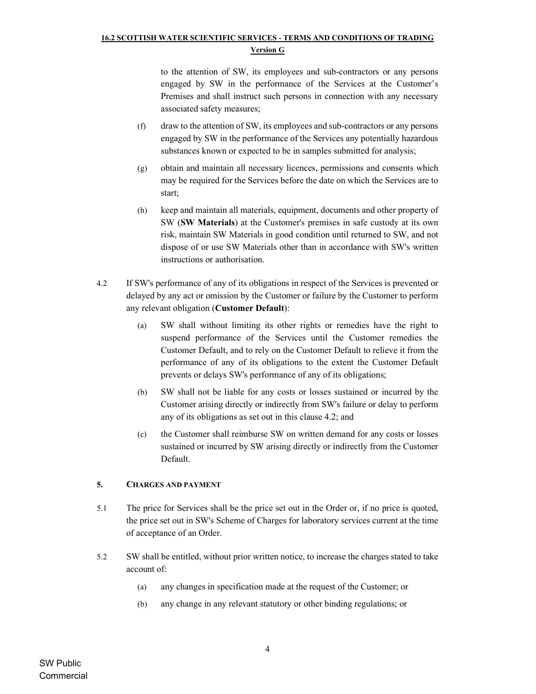to the attention of SW, its employees and sub-contractors or any persons engaged by SW in the performance of the Services at the Customer's Premises and shall instruct such persons in connection with any necessary associated safety measures;

- (f) draw to the attention of SW, its employees and sub-contractors or any persons engaged by SW in the performance of the Services any potentially hazardous substances known or expected to be in samples submitted for analysis;
- (g) obtain and maintain all necessary licences, permissions and consents which may be required for the Services before the date on which the Services are to start;
- (h) keep and maintain all materials, equipment, documents and other property of SW (SW Materials) at the Customer's premises in safe custody at its own risk, maintain SW Materials in good condition until returned to SW, and not dispose of or use SW Materials other than in accordance with SW's written instructions or authorisation.
- 4.2 If SW's performance of any of its obligations in respect of the Services is prevented or delayed by any act or omission by the Customer or failure by the Customer to perform any relevant obligation (Customer Default):
	- (a) SW shall without limiting its other rights or remedies have the right to suspend performance of the Services until the Customer remedies the Customer Default, and to rely on the Customer Default to relieve it from the performance of any of its obligations to the extent the Customer Default prevents or delays SW's performance of any of its obligations;
	- (b) SW shall not be liable for any costs or losses sustained or incurred by the Customer arising directly or indirectly from SW's failure or delay to perform any of its obligations as set out in this clause 4.2; and
	- (c) the Customer shall reimburse SW on written demand for any costs or losses sustained or incurred by SW arising directly or indirectly from the Customer Default.

### 5. CHARGES AND PAYMENT

- 5.1 The price for Services shall be the price set out in the Order or, if no price is quoted, the price set out in SW's Scheme of Charges for laboratory services current at the time of acceptance of an Order.
- 5.2 SW shall be entitled, without prior written notice, to increase the charges stated to take account of:
	- (a) any changes in specification made at the request of the Customer; or
	- (b) any change in any relevant statutory or other binding regulations; or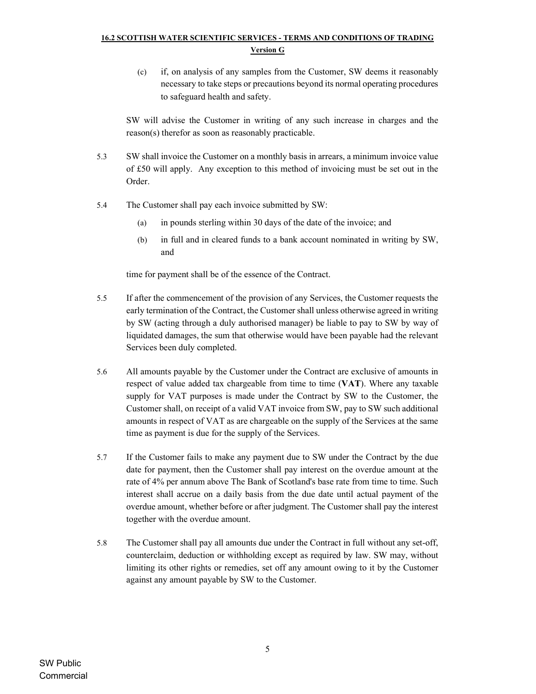(c) if, on analysis of any samples from the Customer, SW deems it reasonably necessary to take steps or precautions beyond its normal operating procedures to safeguard health and safety.

SW will advise the Customer in writing of any such increase in charges and the reason(s) therefor as soon as reasonably practicable.

- 5.3 SW shall invoice the Customer on a monthly basis in arrears, a minimum invoice value of £50 will apply. Any exception to this method of invoicing must be set out in the Order.
- 5.4 The Customer shall pay each invoice submitted by SW:
	- (a) in pounds sterling within 30 days of the date of the invoice; and
	- (b) in full and in cleared funds to a bank account nominated in writing by SW, and

time for payment shall be of the essence of the Contract.

- 5.5 If after the commencement of the provision of any Services, the Customer requests the early termination of the Contract, the Customer shall unless otherwise agreed in writing by SW (acting through a duly authorised manager) be liable to pay to SW by way of liquidated damages, the sum that otherwise would have been payable had the relevant Services been duly completed.
- 5.6 All amounts payable by the Customer under the Contract are exclusive of amounts in respect of value added tax chargeable from time to time (VAT). Where any taxable supply for VAT purposes is made under the Contract by SW to the Customer, the Customer shall, on receipt of a valid VAT invoice from SW, pay to SW such additional amounts in respect of VAT as are chargeable on the supply of the Services at the same time as payment is due for the supply of the Services.
- 5.7 If the Customer fails to make any payment due to SW under the Contract by the due date for payment, then the Customer shall pay interest on the overdue amount at the rate of 4% per annum above The Bank of Scotland's base rate from time to time. Such interest shall accrue on a daily basis from the due date until actual payment of the overdue amount, whether before or after judgment. The Customer shall pay the interest together with the overdue amount.
- 5.8 The Customer shall pay all amounts due under the Contract in full without any set-off, counterclaim, deduction or withholding except as required by law. SW may, without limiting its other rights or remedies, set off any amount owing to it by the Customer against any amount payable by SW to the Customer.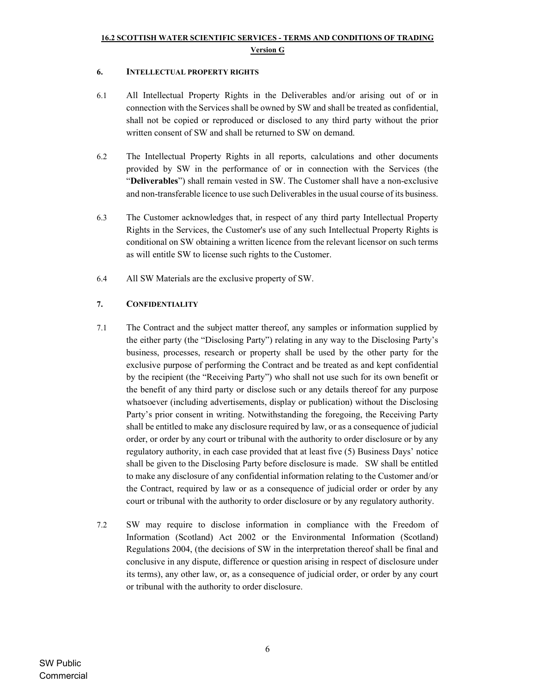#### 6. INTELLECTUAL PROPERTY RIGHTS

- 6.1 All Intellectual Property Rights in the Deliverables and/or arising out of or in connection with the Services shall be owned by SW and shall be treated as confidential, shall not be copied or reproduced or disclosed to any third party without the prior written consent of SW and shall be returned to SW on demand.
- 6.2 The Intellectual Property Rights in all reports, calculations and other documents provided by SW in the performance of or in connection with the Services (the "Deliverables") shall remain vested in SW. The Customer shall have a non-exclusive and non-transferable licence to use such Deliverables in the usual course of its business.
- 6.3 The Customer acknowledges that, in respect of any third party Intellectual Property Rights in the Services, the Customer's use of any such Intellectual Property Rights is conditional on SW obtaining a written licence from the relevant licensor on such terms as will entitle SW to license such rights to the Customer.
- 6.4 All SW Materials are the exclusive property of SW.

### 7. CONFIDENTIALITY

- 7.1 The Contract and the subject matter thereof, any samples or information supplied by the either party (the "Disclosing Party") relating in any way to the Disclosing Party's business, processes, research or property shall be used by the other party for the exclusive purpose of performing the Contract and be treated as and kept confidential by the recipient (the "Receiving Party") who shall not use such for its own benefit or the benefit of any third party or disclose such or any details thereof for any purpose whatsoever (including advertisements, display or publication) without the Disclosing Party's prior consent in writing. Notwithstanding the foregoing, the Receiving Party shall be entitled to make any disclosure required by law, or as a consequence of judicial order, or order by any court or tribunal with the authority to order disclosure or by any regulatory authority, in each case provided that at least five (5) Business Days' notice shall be given to the Disclosing Party before disclosure is made. SW shall be entitled to make any disclosure of any confidential information relating to the Customer and/or the Contract, required by law or as a consequence of judicial order or order by any court or tribunal with the authority to order disclosure or by any regulatory authority.
- 7.2 SW may require to disclose information in compliance with the Freedom of Information (Scotland) Act 2002 or the Environmental Information (Scotland) Regulations 2004, (the decisions of SW in the interpretation thereof shall be final and conclusive in any dispute, difference or question arising in respect of disclosure under its terms), any other law, or, as a consequence of judicial order, or order by any court or tribunal with the authority to order disclosure.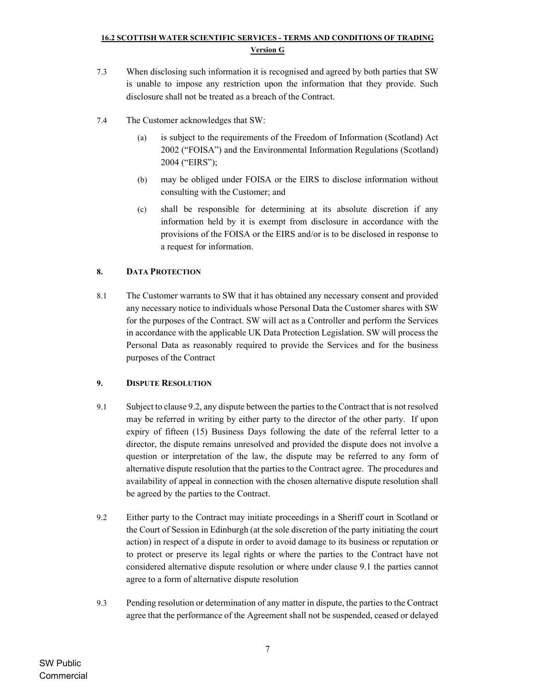- 7.3 When disclosing such information it is recognised and agreed by both parties that SW is unable to impose any restriction upon the information that they provide. Such disclosure shall not be treated as a breach of the Contract.
- 7.4 The Customer acknowledges that SW:
	- (a) is subject to the requirements of the Freedom of Information (Scotland) Act 2002 ("FOISA") and the Environmental Information Regulations (Scotland) 2004 ("EIRS");
	- (b) may be obliged under FOISA or the EIRS to disclose information without consulting with the Customer; and
	- (c) shall be responsible for determining at its absolute discretion if any information held by it is exempt from disclosure in accordance with the provisions of the FOISA or the EIRS and/or is to be disclosed in response to a request for information.

### 8. DATA PROTECTION

8.1 The Customer warrants to SW that it has obtained any necessary consent and provided any necessary notice to individuals whose Personal Data the Customer shares with SW for the purposes of the Contract. SW will act as a Controller and perform the Services in accordance with the applicable UK Data Protection Legislation. SW will process the Personal Data as reasonably required to provide the Services and for the business purposes of the Contract

### 9. DISPUTE RESOLUTION

- 9.1 Subject to clause 9.2, any dispute between the parties to the Contract that is not resolved may be referred in writing by either party to the director of the other party. If upon expiry of fifteen (15) Business Days following the date of the referral letter to a director, the dispute remains unresolved and provided the dispute does not involve a question or interpretation of the law, the dispute may be referred to any form of alternative dispute resolution that the parties to the Contract agree. The procedures and availability of appeal in connection with the chosen alternative dispute resolution shall be agreed by the parties to the Contract.
- 9.2 Either party to the Contract may initiate proceedings in a Sheriff court in Scotland or the Court of Session in Edinburgh (at the sole discretion of the party initiating the court action) in respect of a dispute in order to avoid damage to its business or reputation or to protect or preserve its legal rights or where the parties to the Contract have not considered alternative dispute resolution or where under clause 9.1 the parties cannot agree to a form of alternative dispute resolution
- 9.3 Pending resolution or determination of any matter in dispute, the parties to the Contract agree that the performance of the Agreement shall not be suspended, ceased or delayed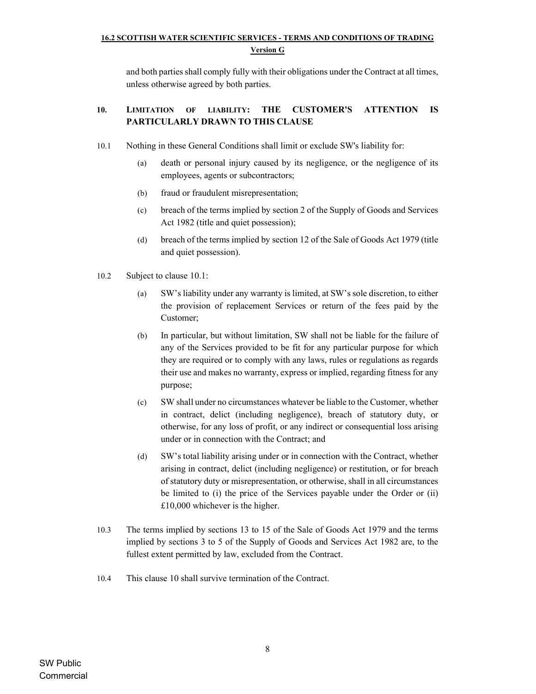and both parties shall comply fully with their obligations under the Contract at all times, unless otherwise agreed by both parties.

## 10. LIMITATION OF LIABILITY: THE CUSTOMER'S ATTENTION IS PARTICULARLY DRAWN TO THIS CLAUSE

- 10.1 Nothing in these General Conditions shall limit or exclude SW's liability for:
	- (a) death or personal injury caused by its negligence, or the negligence of its employees, agents or subcontractors;
	- (b) fraud or fraudulent misrepresentation;
	- (c) breach of the terms implied by section 2 of the Supply of Goods and Services Act 1982 (title and quiet possession);
	- (d) breach of the terms implied by section 12 of the Sale of Goods Act 1979 (title and quiet possession).
- 10.2 Subject to clause 10.1:
	- (a) SW's liability under any warranty is limited, at SW's sole discretion, to either the provision of replacement Services or return of the fees paid by the Customer;
	- (b) In particular, but without limitation, SW shall not be liable for the failure of any of the Services provided to be fit for any particular purpose for which they are required or to comply with any laws, rules or regulations as regards their use and makes no warranty, express or implied, regarding fitness for any purpose;
	- (c) SW shall under no circumstances whatever be liable to the Customer, whether in contract, delict (including negligence), breach of statutory duty, or otherwise, for any loss of profit, or any indirect or consequential loss arising under or in connection with the Contract; and
	- (d) SW's total liability arising under or in connection with the Contract, whether arising in contract, delict (including negligence) or restitution, or for breach of statutory duty or misrepresentation, or otherwise, shall in all circumstances be limited to (i) the price of the Services payable under the Order or (ii) £10,000 whichever is the higher.
- 10.3 The terms implied by sections 13 to 15 of the Sale of Goods Act 1979 and the terms implied by sections 3 to 5 of the Supply of Goods and Services Act 1982 are, to the fullest extent permitted by law, excluded from the Contract.
- 10.4 This clause 10 shall survive termination of the Contract.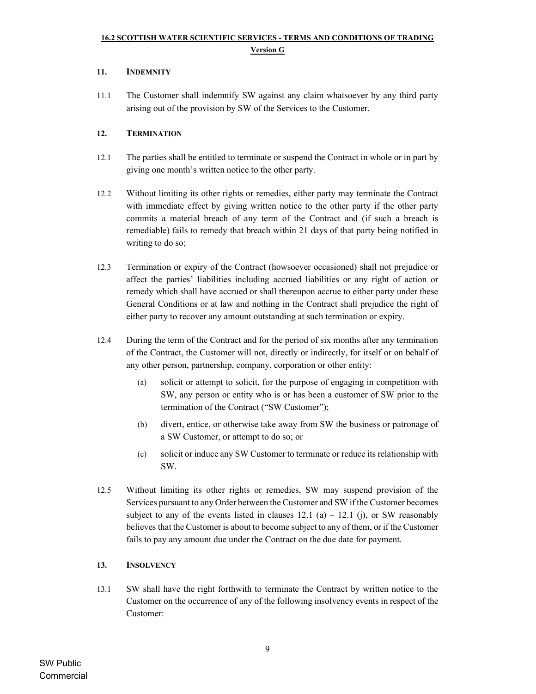### 11. INDEMNITY

11.1 The Customer shall indemnify SW against any claim whatsoever by any third party arising out of the provision by SW of the Services to the Customer.

### 12. TERMINATION

- 12.1 The parties shall be entitled to terminate or suspend the Contract in whole or in part by giving one month's written notice to the other party.
- 12.2 Without limiting its other rights or remedies, either party may terminate the Contract with immediate effect by giving written notice to the other party if the other party commits a material breach of any term of the Contract and (if such a breach is remediable) fails to remedy that breach within 21 days of that party being notified in writing to do so;
- 12.3 Termination or expiry of the Contract (howsoever occasioned) shall not prejudice or affect the parties' liabilities including accrued liabilities or any right of action or remedy which shall have accrued or shall thereupon accrue to either party under these General Conditions or at law and nothing in the Contract shall prejudice the right of either party to recover any amount outstanding at such termination or expiry.
- 12.4 During the term of the Contract and for the period of six months after any termination of the Contract, the Customer will not, directly or indirectly, for itself or on behalf of any other person, partnership, company, corporation or other entity:
	- (a) solicit or attempt to solicit, for the purpose of engaging in competition with SW, any person or entity who is or has been a customer of SW prior to the termination of the Contract ("SW Customer");
	- (b) divert, entice, or otherwise take away from SW the business or patronage of a SW Customer, or attempt to do so; or
	- (c) solicit or induce any SW Customer to terminate or reduce its relationship with SW.
- 12.5 Without limiting its other rights or remedies, SW may suspend provision of the Services pursuant to any Order between the Customer and SW if the Customer becomes subject to any of the events listed in clauses  $12.1$  (a)  $-12.1$  (j), or SW reasonably believes that the Customer is about to become subject to any of them, or if the Customer fails to pay any amount due under the Contract on the due date for payment.

### 13. INSOLVENCY

13.1 SW shall have the right forthwith to terminate the Contract by written notice to the Customer on the occurrence of any of the following insolvency events in respect of the Customer: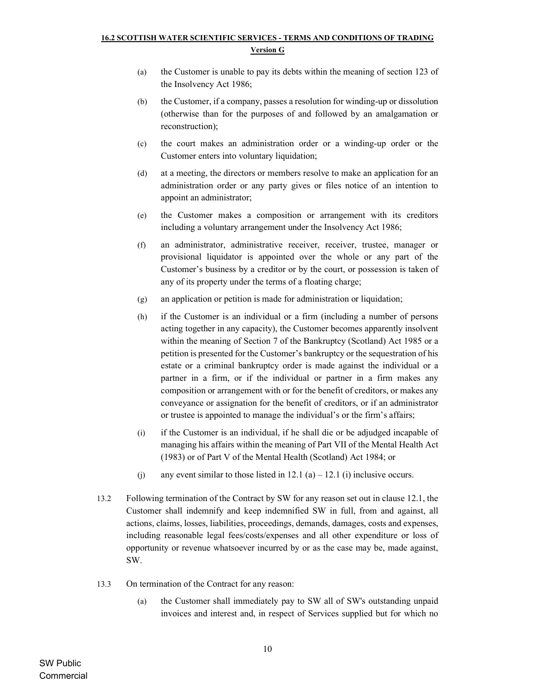- (a) the Customer is unable to pay its debts within the meaning of section 123 of the Insolvency Act 1986;
- (b) the Customer, if a company, passes a resolution for winding-up or dissolution (otherwise than for the purposes of and followed by an amalgamation or reconstruction);
- (c) the court makes an administration order or a winding-up order or the Customer enters into voluntary liquidation;
- (d) at a meeting, the directors or members resolve to make an application for an administration order or any party gives or files notice of an intention to appoint an administrator;
- (e) the Customer makes a composition or arrangement with its creditors including a voluntary arrangement under the Insolvency Act 1986;
- (f) an administrator, administrative receiver, receiver, trustee, manager or provisional liquidator is appointed over the whole or any part of the Customer's business by a creditor or by the court, or possession is taken of any of its property under the terms of a floating charge;
- (g) an application or petition is made for administration or liquidation;
- (h) if the Customer is an individual or a firm (including a number of persons acting together in any capacity), the Customer becomes apparently insolvent within the meaning of Section 7 of the Bankruptcy (Scotland) Act 1985 or a petition is presented for the Customer's bankruptcy or the sequestration of his estate or a criminal bankruptcy order is made against the individual or a partner in a firm, or if the individual or partner in a firm makes any composition or arrangement with or for the benefit of creditors, or makes any conveyance or assignation for the benefit of creditors, or if an administrator or trustee is appointed to manage the individual's or the firm's affairs;
- (i) if the Customer is an individual, if he shall die or be adjudged incapable of managing his affairs within the meaning of Part VII of the Mental Health Act (1983) or of Part V of the Mental Health (Scotland) Act 1984; or
- (j) any event similar to those listed in  $12.1$  (a)  $12.1$  (i) inclusive occurs.
- 13.2 Following termination of the Contract by SW for any reason set out in clause 12.1, the Customer shall indemnify and keep indemnified SW in full, from and against, all actions, claims, losses, liabilities, proceedings, demands, damages, costs and expenses, including reasonable legal fees/costs/expenses and all other expenditure or loss of opportunity or revenue whatsoever incurred by or as the case may be, made against, SW.
- 13.3 On termination of the Contract for any reason:
	- (a) the Customer shall immediately pay to SW all of SW's outstanding unpaid invoices and interest and, in respect of Services supplied but for which no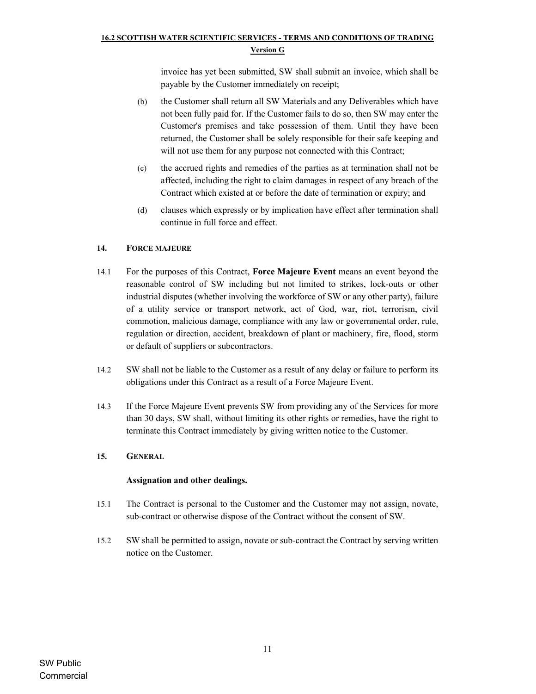invoice has yet been submitted, SW shall submit an invoice, which shall be payable by the Customer immediately on receipt;

- (b) the Customer shall return all SW Materials and any Deliverables which have not been fully paid for. If the Customer fails to do so, then SW may enter the Customer's premises and take possession of them. Until they have been returned, the Customer shall be solely responsible for their safe keeping and will not use them for any purpose not connected with this Contract;
- (c) the accrued rights and remedies of the parties as at termination shall not be affected, including the right to claim damages in respect of any breach of the Contract which existed at or before the date of termination or expiry; and
- (d) clauses which expressly or by implication have effect after termination shall continue in full force and effect.

#### 14. FORCE MAJEURE

- 14.1 For the purposes of this Contract, Force Majeure Event means an event beyond the reasonable control of SW including but not limited to strikes, lock-outs or other industrial disputes (whether involving the workforce of SW or any other party), failure of a utility service or transport network, act of God, war, riot, terrorism, civil commotion, malicious damage, compliance with any law or governmental order, rule, regulation or direction, accident, breakdown of plant or machinery, fire, flood, storm or default of suppliers or subcontractors.
- 14.2 SW shall not be liable to the Customer as a result of any delay or failure to perform its obligations under this Contract as a result of a Force Majeure Event.
- 14.3 If the Force Majeure Event prevents SW from providing any of the Services for more than 30 days, SW shall, without limiting its other rights or remedies, have the right to terminate this Contract immediately by giving written notice to the Customer.

#### 15. GENERAL

#### Assignation and other dealings.

- 15.1 The Contract is personal to the Customer and the Customer may not assign, novate, sub-contract or otherwise dispose of the Contract without the consent of SW.
- 15.2 SW shall be permitted to assign, novate or sub-contract the Contract by serving written notice on the Customer.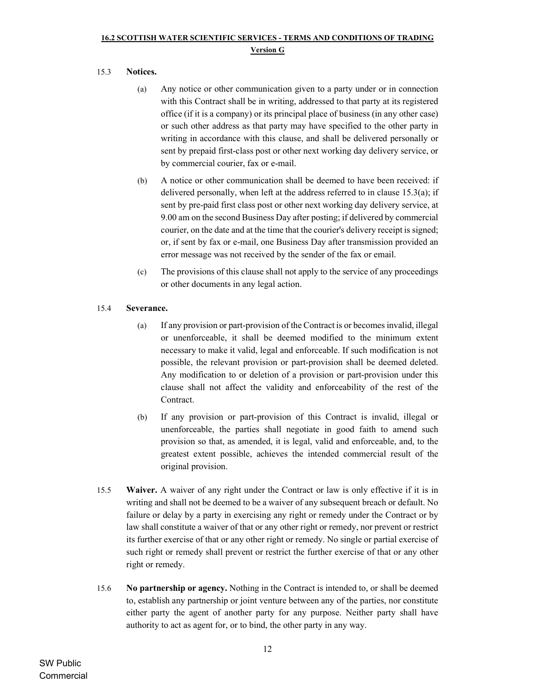## 15.3 Notices.

- (a) Any notice or other communication given to a party under or in connection with this Contract shall be in writing, addressed to that party at its registered office (if it is a company) or its principal place of business (in any other case) or such other address as that party may have specified to the other party in writing in accordance with this clause, and shall be delivered personally or sent by prepaid first-class post or other next working day delivery service, or by commercial courier, fax or e-mail.
- (b) A notice or other communication shall be deemed to have been received: if delivered personally, when left at the address referred to in clause 15.3(a); if sent by pre-paid first class post or other next working day delivery service, at 9.00 am on the second Business Day after posting; if delivered by commercial courier, on the date and at the time that the courier's delivery receipt is signed; or, if sent by fax or e-mail, one Business Day after transmission provided an error message was not received by the sender of the fax or email.
- (c) The provisions of this clause shall not apply to the service of any proceedings or other documents in any legal action.

### 15.4 Severance.

- (a) If any provision or part-provision of the Contract is or becomes invalid, illegal or unenforceable, it shall be deemed modified to the minimum extent necessary to make it valid, legal and enforceable. If such modification is not possible, the relevant provision or part-provision shall be deemed deleted. Any modification to or deletion of a provision or part-provision under this clause shall not affect the validity and enforceability of the rest of the Contract.
- (b) If any provision or part-provision of this Contract is invalid, illegal or unenforceable, the parties shall negotiate in good faith to amend such provision so that, as amended, it is legal, valid and enforceable, and, to the greatest extent possible, achieves the intended commercial result of the original provision.
- 15.5 Waiver. A waiver of any right under the Contract or law is only effective if it is in writing and shall not be deemed to be a waiver of any subsequent breach or default. No failure or delay by a party in exercising any right or remedy under the Contract or by law shall constitute a waiver of that or any other right or remedy, nor prevent or restrict its further exercise of that or any other right or remedy. No single or partial exercise of such right or remedy shall prevent or restrict the further exercise of that or any other right or remedy.
- 15.6 No partnership or agency. Nothing in the Contract is intended to, or shall be deemed to, establish any partnership or joint venture between any of the parties, nor constitute either party the agent of another party for any purpose. Neither party shall have authority to act as agent for, or to bind, the other party in any way.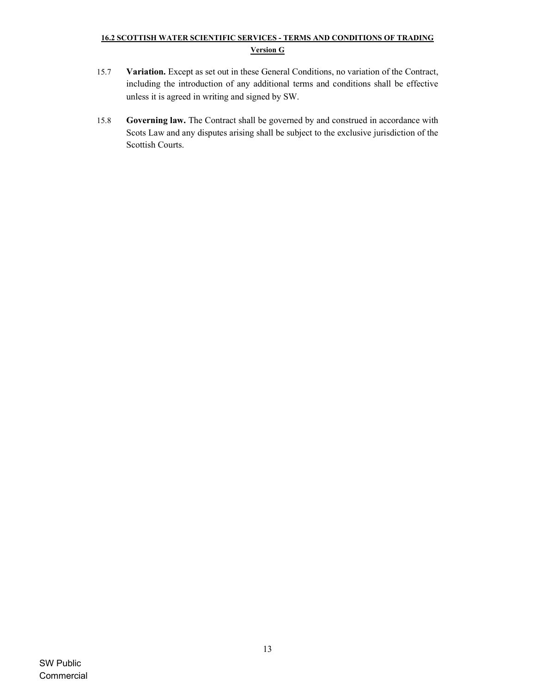- 15.7 Variation. Except as set out in these General Conditions, no variation of the Contract, including the introduction of any additional terms and conditions shall be effective unless it is agreed in writing and signed by SW.
- 15.8 Governing law. The Contract shall be governed by and construed in accordance with Scots Law and any disputes arising shall be subject to the exclusive jurisdiction of the Scottish Courts.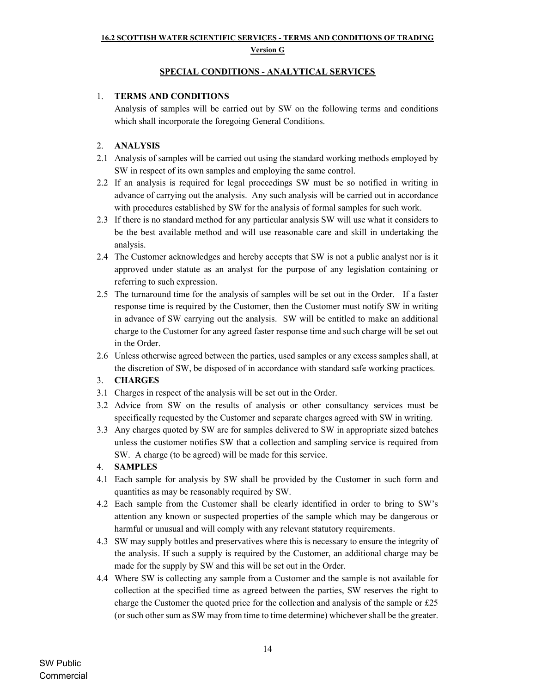#### Version G

### SPECIAL CONDITIONS - ANALYTICAL SERVICES

## 1. TERMS AND CONDITIONS

 Analysis of samples will be carried out by SW on the following terms and conditions which shall incorporate the foregoing General Conditions.

## 2. ANALYSIS

- 2.1 Analysis of samples will be carried out using the standard working methods employed by SW in respect of its own samples and employing the same control.
- 2.2 If an analysis is required for legal proceedings SW must be so notified in writing in advance of carrying out the analysis. Any such analysis will be carried out in accordance with procedures established by SW for the analysis of formal samples for such work.
- 2.3 If there is no standard method for any particular analysis SW will use what it considers to be the best available method and will use reasonable care and skill in undertaking the analysis.
- 2.4 The Customer acknowledges and hereby accepts that SW is not a public analyst nor is it approved under statute as an analyst for the purpose of any legislation containing or referring to such expression.
- 2.5 The turnaround time for the analysis of samples will be set out in the Order. If a faster response time is required by the Customer, then the Customer must notify SW in writing in advance of SW carrying out the analysis. SW will be entitled to make an additional charge to the Customer for any agreed faster response time and such charge will be set out in the Order.
- 2.6 Unless otherwise agreed between the parties, used samples or any excess samples shall, at the discretion of SW, be disposed of in accordance with standard safe working practices.

### 3. CHARGES

- 3.1 Charges in respect of the analysis will be set out in the Order.
- 3.2 Advice from SW on the results of analysis or other consultancy services must be specifically requested by the Customer and separate charges agreed with SW in writing.
- 3.3 Any charges quoted by SW are for samples delivered to SW in appropriate sized batches unless the customer notifies SW that a collection and sampling service is required from SW. A charge (to be agreed) will be made for this service.

## 4. SAMPLES

- 4.1 Each sample for analysis by SW shall be provided by the Customer in such form and quantities as may be reasonably required by SW.
- 4.2 Each sample from the Customer shall be clearly identified in order to bring to SW's attention any known or suspected properties of the sample which may be dangerous or harmful or unusual and will comply with any relevant statutory requirements.
- 4.3 SW may supply bottles and preservatives where this is necessary to ensure the integrity of the analysis. If such a supply is required by the Customer, an additional charge may be made for the supply by SW and this will be set out in the Order.
- 4.4 Where SW is collecting any sample from a Customer and the sample is not available for collection at the specified time as agreed between the parties, SW reserves the right to charge the Customer the quoted price for the collection and analysis of the sample or  $£25$ (or such other sum as SW may from time to time determine) whichever shall be the greater.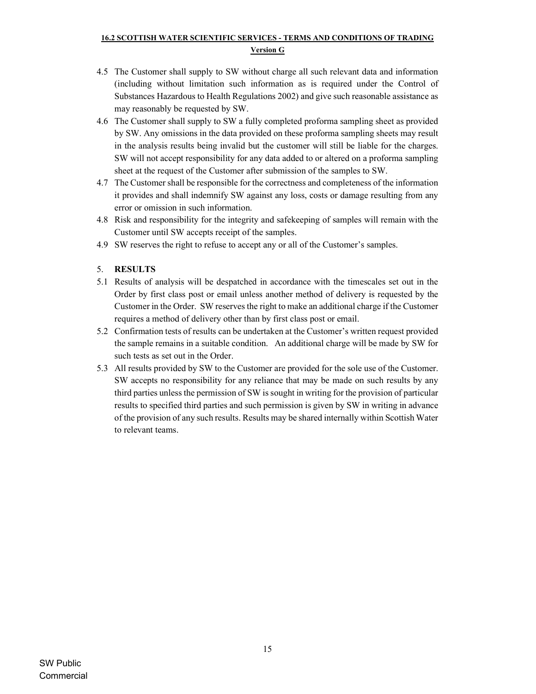- 4.5 The Customer shall supply to SW without charge all such relevant data and information (including without limitation such information as is required under the Control of Substances Hazardous to Health Regulations 2002) and give such reasonable assistance as may reasonably be requested by SW.
- 4.6 The Customer shall supply to SW a fully completed proforma sampling sheet as provided by SW. Any omissions in the data provided on these proforma sampling sheets may result in the analysis results being invalid but the customer will still be liable for the charges. SW will not accept responsibility for any data added to or altered on a proforma sampling sheet at the request of the Customer after submission of the samples to SW.
- 4.7 The Customer shall be responsible for the correctness and completeness of the information it provides and shall indemnify SW against any loss, costs or damage resulting from any error or omission in such information.
- 4.8 Risk and responsibility for the integrity and safekeeping of samples will remain with the Customer until SW accepts receipt of the samples.
- 4.9 SW reserves the right to refuse to accept any or all of the Customer's samples.
- 5. RESULTS
- 5.1 Results of analysis will be despatched in accordance with the timescales set out in the Order by first class post or email unless another method of delivery is requested by the Customer in the Order. SW reserves the right to make an additional charge if the Customer requires a method of delivery other than by first class post or email.
- 5.2 Confirmation tests of results can be undertaken at the Customer's written request provided the sample remains in a suitable condition. An additional charge will be made by SW for such tests as set out in the Order.
- 5.3 All results provided by SW to the Customer are provided for the sole use of the Customer. SW accepts no responsibility for any reliance that may be made on such results by any third parties unless the permission of SW is sought in writing for the provision of particular results to specified third parties and such permission is given by SW in writing in advance of the provision of any such results. Results may be shared internally within Scottish Water to relevant teams.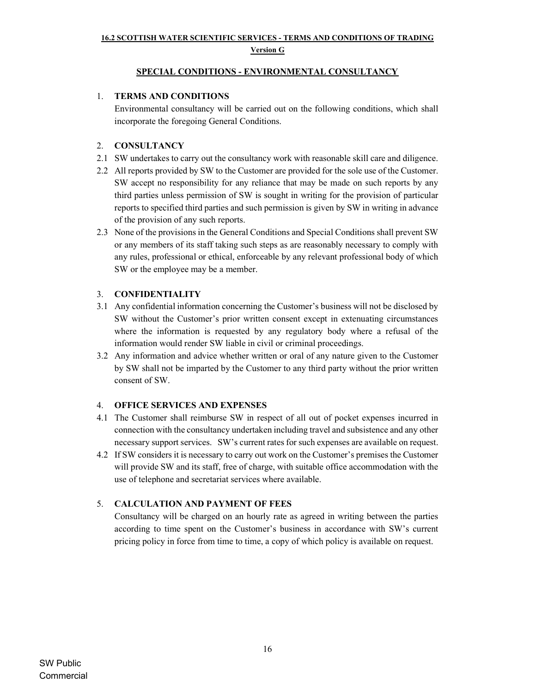#### Version G

## SPECIAL CONDITIONS - ENVIRONMENTAL CONSULTANCY

## 1. TERMS AND CONDITIONS

 Environmental consultancy will be carried out on the following conditions, which shall incorporate the foregoing General Conditions.

## 2. CONSULTANCY

- 2.1 SW undertakes to carry out the consultancy work with reasonable skill care and diligence.
- 2.2 All reports provided by SW to the Customer are provided for the sole use of the Customer. SW accept no responsibility for any reliance that may be made on such reports by any third parties unless permission of SW is sought in writing for the provision of particular reports to specified third parties and such permission is given by SW in writing in advance of the provision of any such reports.
- 2.3 None of the provisions in the General Conditions and Special Conditions shall prevent SW or any members of its staff taking such steps as are reasonably necessary to comply with any rules, professional or ethical, enforceable by any relevant professional body of which SW or the employee may be a member.

## 3. CONFIDENTIALITY

- 3.1 Any confidential information concerning the Customer's business will not be disclosed by SW without the Customer's prior written consent except in extenuating circumstances where the information is requested by any regulatory body where a refusal of the information would render SW liable in civil or criminal proceedings.
- 3.2 Any information and advice whether written or oral of any nature given to the Customer by SW shall not be imparted by the Customer to any third party without the prior written consent of SW.

### 4. OFFICE SERVICES AND EXPENSES

- 4.1 The Customer shall reimburse SW in respect of all out of pocket expenses incurred in connection with the consultancy undertaken including travel and subsistence and any other necessary support services. SW's current rates for such expenses are available on request.
- 4.2 If SW considers it is necessary to carry out work on the Customer's premises the Customer will provide SW and its staff, free of charge, with suitable office accommodation with the use of telephone and secretariat services where available.

## 5. CALCULATION AND PAYMENT OF FEES

 Consultancy will be charged on an hourly rate as agreed in writing between the parties according to time spent on the Customer's business in accordance with SW's current pricing policy in force from time to time, a copy of which policy is available on request.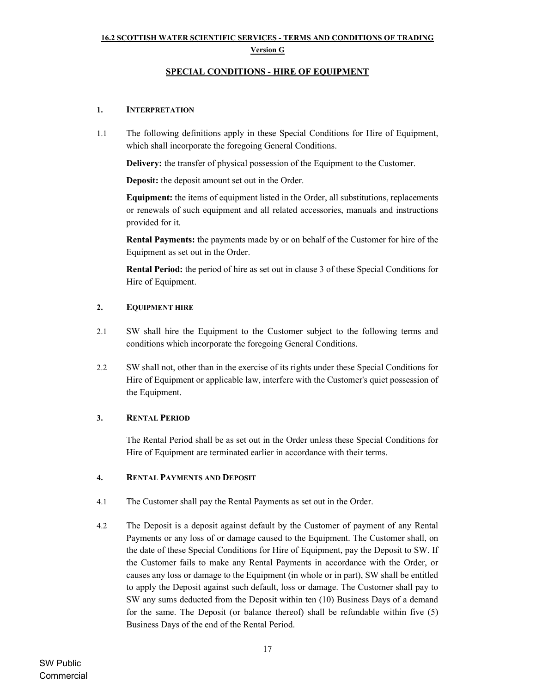#### Version G

#### SPECIAL CONDITIONS - HIRE OF EQUIPMENT

#### 1. INTERPRETATION

1.1 The following definitions apply in these Special Conditions for Hire of Equipment, which shall incorporate the foregoing General Conditions.

Delivery: the transfer of physical possession of the Equipment to the Customer.

Deposit: the deposit amount set out in the Order.

Equipment: the items of equipment listed in the Order, all substitutions, replacements or renewals of such equipment and all related accessories, manuals and instructions provided for it.

Rental Payments: the payments made by or on behalf of the Customer for hire of the Equipment as set out in the Order.

Rental Period: the period of hire as set out in clause 3 of these Special Conditions for Hire of Equipment.

#### 2. EQUIPMENT HIRE

- 2.1 SW shall hire the Equipment to the Customer subject to the following terms and conditions which incorporate the foregoing General Conditions.
- 2.2 SW shall not, other than in the exercise of its rights under these Special Conditions for Hire of Equipment or applicable law, interfere with the Customer's quiet possession of the Equipment.

### 3. RENTAL PERIOD

The Rental Period shall be as set out in the Order unless these Special Conditions for Hire of Equipment are terminated earlier in accordance with their terms.

#### 4. RENTAL PAYMENTS AND DEPOSIT

- 4.1 The Customer shall pay the Rental Payments as set out in the Order.
- 4.2 The Deposit is a deposit against default by the Customer of payment of any Rental Payments or any loss of or damage caused to the Equipment. The Customer shall, on the date of these Special Conditions for Hire of Equipment, pay the Deposit to SW. If the Customer fails to make any Rental Payments in accordance with the Order, or causes any loss or damage to the Equipment (in whole or in part), SW shall be entitled to apply the Deposit against such default, loss or damage. The Customer shall pay to SW any sums deducted from the Deposit within ten (10) Business Days of a demand for the same. The Deposit (or balance thereof) shall be refundable within five (5) Business Days of the end of the Rental Period.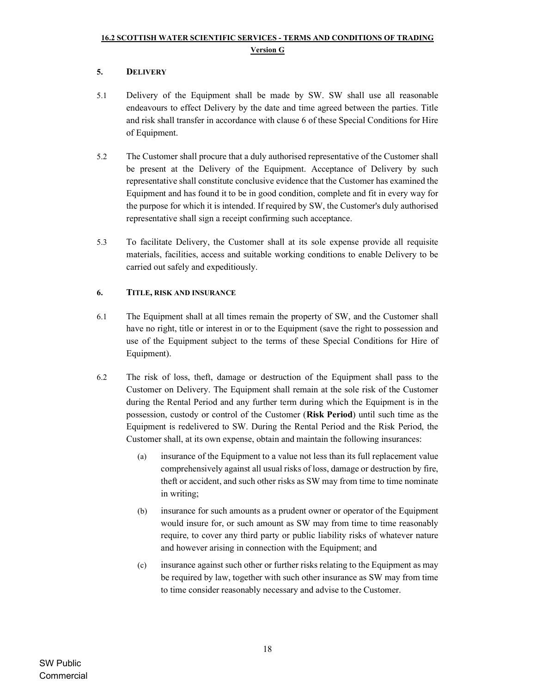## 5. DELIVERY

- 5.1 Delivery of the Equipment shall be made by SW. SW shall use all reasonable endeavours to effect Delivery by the date and time agreed between the parties. Title and risk shall transfer in accordance with clause 6 of these Special Conditions for Hire of Equipment.
- 5.2 The Customer shall procure that a duly authorised representative of the Customer shall be present at the Delivery of the Equipment. Acceptance of Delivery by such representative shall constitute conclusive evidence that the Customer has examined the Equipment and has found it to be in good condition, complete and fit in every way for the purpose for which it is intended. If required by SW, the Customer's duly authorised representative shall sign a receipt confirming such acceptance.
- 5.3 To facilitate Delivery, the Customer shall at its sole expense provide all requisite materials, facilities, access and suitable working conditions to enable Delivery to be carried out safely and expeditiously.

### 6. TITLE, RISK AND INSURANCE

- 6.1 The Equipment shall at all times remain the property of SW, and the Customer shall have no right, title or interest in or to the Equipment (save the right to possession and use of the Equipment subject to the terms of these Special Conditions for Hire of Equipment).
- 6.2 The risk of loss, theft, damage or destruction of the Equipment shall pass to the Customer on Delivery. The Equipment shall remain at the sole risk of the Customer during the Rental Period and any further term during which the Equipment is in the possession, custody or control of the Customer (Risk Period) until such time as the Equipment is redelivered to SW. During the Rental Period and the Risk Period, the Customer shall, at its own expense, obtain and maintain the following insurances:
	- (a) insurance of the Equipment to a value not less than its full replacement value comprehensively against all usual risks of loss, damage or destruction by fire, theft or accident, and such other risks as SW may from time to time nominate in writing;
	- (b) insurance for such amounts as a prudent owner or operator of the Equipment would insure for, or such amount as SW may from time to time reasonably require, to cover any third party or public liability risks of whatever nature and however arising in connection with the Equipment; and
	- (c) insurance against such other or further risks relating to the Equipment as may be required by law, together with such other insurance as SW may from time to time consider reasonably necessary and advise to the Customer.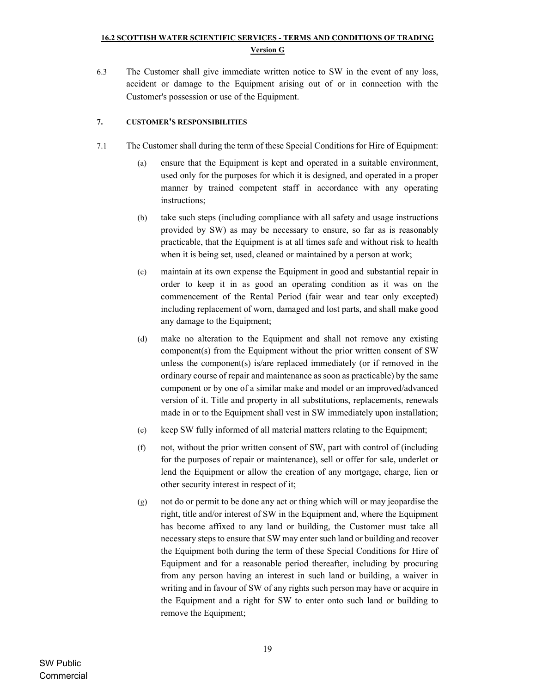6.3 The Customer shall give immediate written notice to SW in the event of any loss, accident or damage to the Equipment arising out of or in connection with the Customer's possession or use of the Equipment.

### 7. CUSTOMER'S RESPONSIBILITIES

- 7.1 The Customer shall during the term of these Special Conditions for Hire of Equipment:
	- (a) ensure that the Equipment is kept and operated in a suitable environment, used only for the purposes for which it is designed, and operated in a proper manner by trained competent staff in accordance with any operating instructions;
	- (b) take such steps (including compliance with all safety and usage instructions provided by SW) as may be necessary to ensure, so far as is reasonably practicable, that the Equipment is at all times safe and without risk to health when it is being set, used, cleaned or maintained by a person at work;
	- (c) maintain at its own expense the Equipment in good and substantial repair in order to keep it in as good an operating condition as it was on the commencement of the Rental Period (fair wear and tear only excepted) including replacement of worn, damaged and lost parts, and shall make good any damage to the Equipment;
	- (d) make no alteration to the Equipment and shall not remove any existing component(s) from the Equipment without the prior written consent of SW unless the component(s) is/are replaced immediately (or if removed in the ordinary course of repair and maintenance as soon as practicable) by the same component or by one of a similar make and model or an improved/advanced version of it. Title and property in all substitutions, replacements, renewals made in or to the Equipment shall vest in SW immediately upon installation;
	- (e) keep SW fully informed of all material matters relating to the Equipment;
	- (f) not, without the prior written consent of SW, part with control of (including for the purposes of repair or maintenance), sell or offer for sale, underlet or lend the Equipment or allow the creation of any mortgage, charge, lien or other security interest in respect of it;
	- (g) not do or permit to be done any act or thing which will or may jeopardise the right, title and/or interest of SW in the Equipment and, where the Equipment has become affixed to any land or building, the Customer must take all necessary steps to ensure that SW may enter such land or building and recover the Equipment both during the term of these Special Conditions for Hire of Equipment and for a reasonable period thereafter, including by procuring from any person having an interest in such land or building, a waiver in writing and in favour of SW of any rights such person may have or acquire in the Equipment and a right for SW to enter onto such land or building to remove the Equipment;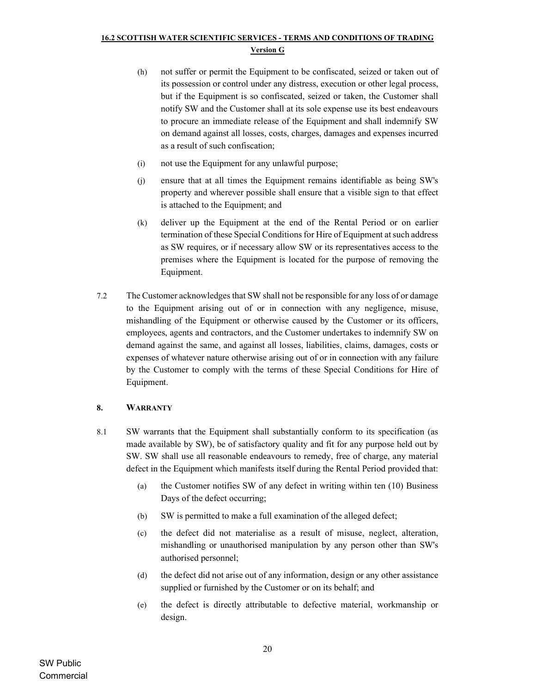- (h) not suffer or permit the Equipment to be confiscated, seized or taken out of its possession or control under any distress, execution or other legal process, but if the Equipment is so confiscated, seized or taken, the Customer shall notify SW and the Customer shall at its sole expense use its best endeavours to procure an immediate release of the Equipment and shall indemnify SW on demand against all losses, costs, charges, damages and expenses incurred as a result of such confiscation;
- (i) not use the Equipment for any unlawful purpose;
- (j) ensure that at all times the Equipment remains identifiable as being SW's property and wherever possible shall ensure that a visible sign to that effect is attached to the Equipment; and
- (k) deliver up the Equipment at the end of the Rental Period or on earlier termination of these Special Conditions for Hire of Equipment at such address as SW requires, or if necessary allow SW or its representatives access to the premises where the Equipment is located for the purpose of removing the Equipment.
- 7.2 The Customer acknowledges that SW shall not be responsible for any loss of or damage to the Equipment arising out of or in connection with any negligence, misuse, mishandling of the Equipment or otherwise caused by the Customer or its officers, employees, agents and contractors, and the Customer undertakes to indemnify SW on demand against the same, and against all losses, liabilities, claims, damages, costs or expenses of whatever nature otherwise arising out of or in connection with any failure by the Customer to comply with the terms of these Special Conditions for Hire of Equipment.

### 8. WARRANTY

- 8.1 SW warrants that the Equipment shall substantially conform to its specification (as made available by SW), be of satisfactory quality and fit for any purpose held out by SW. SW shall use all reasonable endeavours to remedy, free of charge, any material defect in the Equipment which manifests itself during the Rental Period provided that:
	- (a) the Customer notifies SW of any defect in writing within ten (10) Business Days of the defect occurring;
	- (b) SW is permitted to make a full examination of the alleged defect;
	- (c) the defect did not materialise as a result of misuse, neglect, alteration, mishandling or unauthorised manipulation by any person other than SW's authorised personnel;
	- (d) the defect did not arise out of any information, design or any other assistance supplied or furnished by the Customer or on its behalf; and
	- (e) the defect is directly attributable to defective material, workmanship or design.